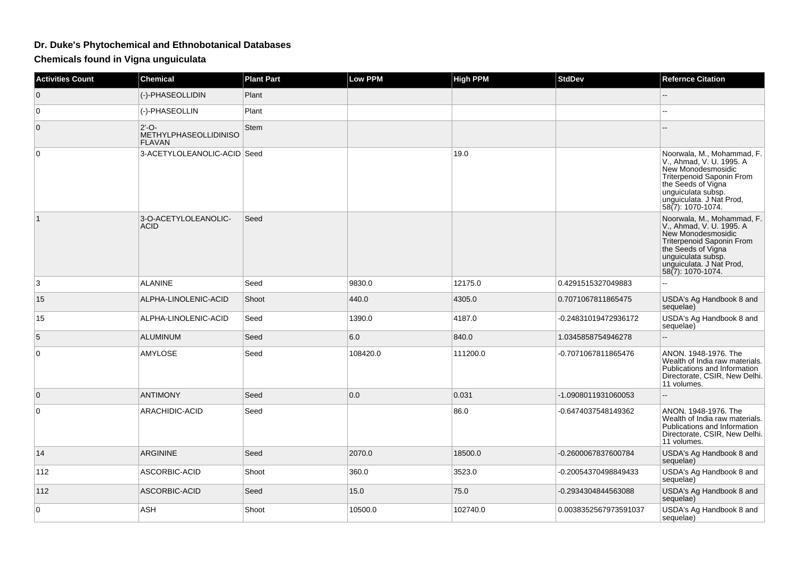## **Dr. Duke's Phytochemical and Ethnobotanical Databases**

**Chemicals found in Vigna unguiculata**

| <b>Activities Count</b> | Chemical                                                 | <b>Plant Part</b> | <b>Low PPM</b> | <b>High PPM</b> | <b>StdDev</b>         | <b>Refernce Citation</b>                                                                                                                                                                               |
|-------------------------|----------------------------------------------------------|-------------------|----------------|-----------------|-----------------------|--------------------------------------------------------------------------------------------------------------------------------------------------------------------------------------------------------|
| $\mathbf 0$             | (-)-PHASEOLLIDIN                                         | Plant             |                |                 |                       |                                                                                                                                                                                                        |
| $\mathbf 0$             | (-)-PHASEOLLIN                                           | Plant             |                |                 |                       | 4                                                                                                                                                                                                      |
| $\mathbf 0$             | $2'-O-$<br><b>METHYLPHASEOLLIDINISO</b><br><b>FLAVAN</b> | <b>Stem</b>       |                |                 |                       |                                                                                                                                                                                                        |
| $\mathbf 0$             | 3-ACETYLOLEANOLIC-ACID Seed                              |                   |                | 19.0            |                       | Noorwala, M., Mohammad, F.<br>V., Ahmad, V. U. 1995. A<br>New Monodesmosidic<br>Triterpenoid Saponin From<br>the Seeds of Vigna<br>unguiculata subsp.<br>unguiculata. J Nat Prod,<br>58(7): 1070-1074. |
| $\mathbf{1}$            | 3-O-ACETYLOLEANOLIC-<br><b>ACID</b>                      | Seed              |                |                 |                       | Noorwala, M., Mohammad, F.<br>V., Ahmad, V. U. 1995. A<br>New Monodesmosidic<br>Triterpenoid Saponin From<br>the Seeds of Vigna<br>unguiculata subsp.<br>unguiculata. J Nat Prod,<br>58(7): 1070-1074. |
| 3                       | <b>ALANINE</b>                                           | Seed              | 9830.0         | 12175.0         | 0.4291515327049883    |                                                                                                                                                                                                        |
| 15                      | ALPHA-LINOLENIC-ACID                                     | Shoot             | 440.0          | 4305.0          | 0.7071067811865475    | USDA's Ag Handbook 8 and<br>sequelae)                                                                                                                                                                  |
| 15                      | ALPHA-LINOLENIC-ACID                                     | Seed              | 1390.0         | 4187.0          | -0.24831019472936172  | USDA's Ag Handbook 8 and<br>sequelae)                                                                                                                                                                  |
| 5                       | <b>ALUMINUM</b>                                          | Seed              | 6.0            | 840.0           | 1.0345858754946278    | ω.                                                                                                                                                                                                     |
| $\mathbf 0$             | AMYLOSE                                                  | Seed              | 108420.0       | 111200.0        | -0.7071067811865476   | ANON. 1948-1976. The<br>Wealth of India raw materials.<br>Publications and Information<br>Directorate, CSIR, New Delhi.<br>11 volumes.                                                                 |
| $\mathbf{0}$            | <b>ANTIMONY</b>                                          | Seed              | 0.0            | 0.031           | -1.0908011931060053   | $\overline{a}$                                                                                                                                                                                         |
| 0                       | ARACHIDIC-ACID                                           | Seed              |                | 86.0            | -0.6474037548149362   | ANON, 1948-1976. The<br>Wealth of India raw materials.<br>Publications and Information<br>Directorate, CSIR, New Delhi.<br>11 volumes.                                                                 |
| 14                      | <b>ARGININE</b>                                          | Seed              | 2070.0         | 18500.0         | -0.2600067837600784   | USDA's Ag Handbook 8 and<br>sequelae)                                                                                                                                                                  |
| 112                     | ASCORBIC-ACID                                            | Shoot             | 360.0          | 3523.0          | -0.20054370498849433  | USDA's Ag Handbook 8 and<br>sequelae)                                                                                                                                                                  |
| 112                     | ASCORBIC-ACID                                            | Seed              | 15.0           | 75.0            | -0.2934304844563088   | USDA's Ag Handbook 8 and<br>sequelae)                                                                                                                                                                  |
| 0                       | <b>ASH</b>                                               | Shoot             | 10500.0        | 102740.0        | 0.0038352567973591037 | USDA's Ag Handbook 8 and<br>sequelae)                                                                                                                                                                  |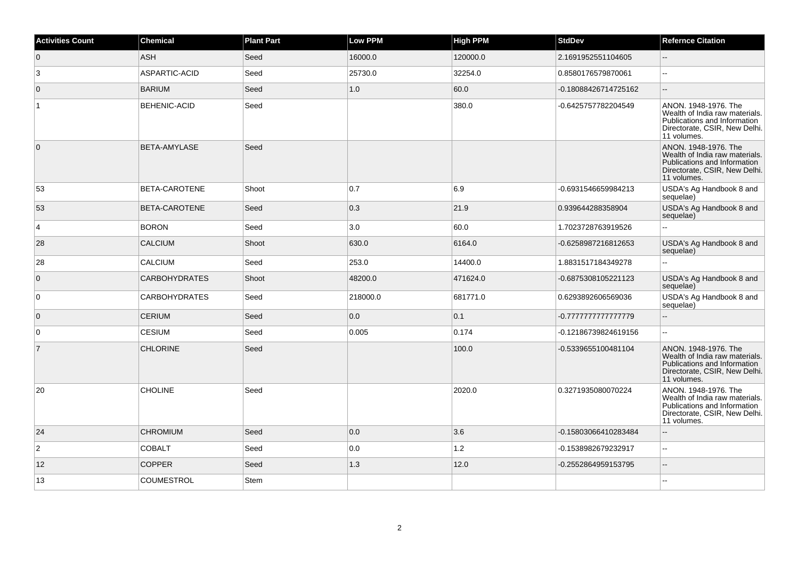| <b>Activities Count</b> | <b>Chemical</b>      | <b>Plant Part</b> | <b>Low PPM</b> | High PPM | <b>StdDev</b>        | <b>Refernce Citation</b>                                                                                                               |
|-------------------------|----------------------|-------------------|----------------|----------|----------------------|----------------------------------------------------------------------------------------------------------------------------------------|
| $\overline{0}$          | <b>ASH</b>           | Seed              | 16000.0        | 120000.0 | 2.1691952551104605   |                                                                                                                                        |
| 3                       | ASPARTIC-ACID        | Seed              | 25730.0        | 32254.0  | 0.8580176579870061   | $\sim$ $\sim$                                                                                                                          |
| 0                       | <b>BARIUM</b>        | Seed              | $1.0\,$        | 60.0     | -0.18088426714725162 | $\overline{\phantom{a}}$                                                                                                               |
| $\mathbf{1}$            | <b>BEHENIC-ACID</b>  | Seed              |                | 380.0    | -0.6425757782204549  | ANON. 1948-1976. The<br>Wealth of India raw materials.<br>Publications and Information<br>Directorate, CSIR, New Delhi.<br>11 volumes. |
| $\overline{0}$          | BETA-AMYLASE         | Seed              |                |          |                      | ANON. 1948-1976. The<br>Wealth of India raw materials.<br>Publications and Information<br>Directorate, CSIR, New Delhi.<br>11 volumes. |
| 53                      | <b>BETA-CAROTENE</b> | Shoot             | 0.7            | 6.9      | -0.6931546659984213  | USDA's Ag Handbook 8 and<br>sequelae)                                                                                                  |
| 53                      | BETA-CAROTENE        | Seed              | 0.3            | 21.9     | 0.939644288358904    | USDA's Ag Handbook 8 and<br>sequelae)                                                                                                  |
| $\overline{4}$          | <b>BORON</b>         | Seed              | 3.0            | 60.0     | 1.7023728763919526   |                                                                                                                                        |
| 28                      | <b>CALCIUM</b>       | Shoot             | 630.0          | 6164.0   | -0.6258987216812653  | USDA's Ag Handbook 8 and<br>sequelae)                                                                                                  |
| 28                      | <b>CALCIUM</b>       | Seed              | 253.0          | 14400.0  | 1.8831517184349278   | $\sim$                                                                                                                                 |
| 0                       | <b>CARBOHYDRATES</b> | Shoot             | 48200.0        | 471624.0 | -0.6875308105221123  | USDA's Ag Handbook 8 and<br>sequelae)                                                                                                  |
| 0                       | <b>CARBOHYDRATES</b> | Seed              | 218000.0       | 681771.0 | 0.6293892606569036   | USDA's Ag Handbook 8 and<br>sequelae)                                                                                                  |
| $\overline{0}$          | <b>CERIUM</b>        | Seed              | 0.0            | 0.1      | -0.777777777777779   | $\mathbb{Z}^2$                                                                                                                         |
| 0                       | <b>CESIUM</b>        | Seed              | 0.005          | 0.174    | -0.12186739824619156 | $\overline{a}$                                                                                                                         |
| $\overline{7}$          | <b>CHLORINE</b>      | Seed              |                | 100.0    | -0.5339655100481104  | ANON. 1948-1976. The<br>Wealth of India raw materials.<br>Publications and Information<br>Directorate, CSIR, New Delhi.<br>11 volumes. |
| 20                      | <b>CHOLINE</b>       | Seed              |                | 2020.0   | 0.3271935080070224   | ANON. 1948-1976. The<br>Wealth of India raw materials.<br>Publications and Information<br>Directorate, CSIR, New Delhi.<br>11 volumes. |
| 24                      | <b>CHROMIUM</b>      | Seed              | 0.0            | 3.6      | -0.15803066410283484 | $\sim$                                                                                                                                 |
| $\overline{c}$          | <b>COBALT</b>        | Seed              | 0.0            | $1.2$    | -0.1538982679232917  | $\sim$                                                                                                                                 |
| 12                      | <b>COPPER</b>        | Seed              | 1.3            | 12.0     | -0.2552864959153795  | $\mathbf{L}$                                                                                                                           |
| 13                      | <b>COUMESTROL</b>    | Stem              |                |          |                      |                                                                                                                                        |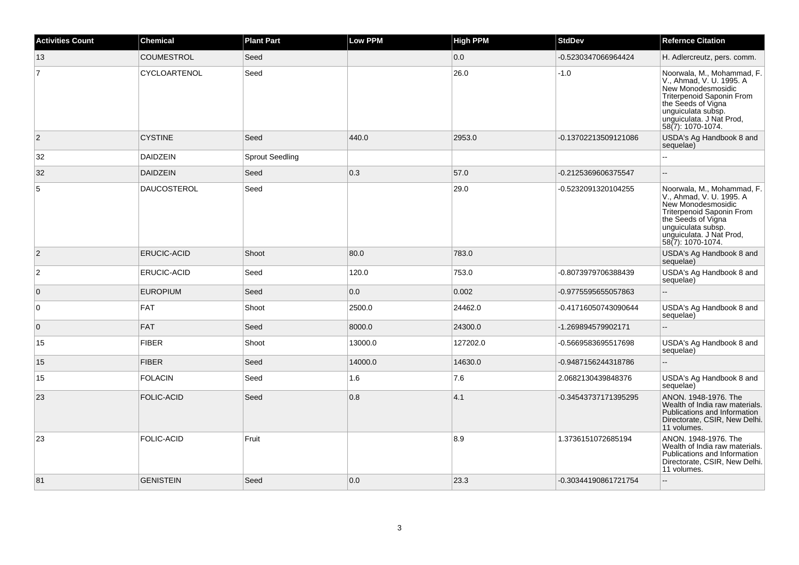| <b>Activities Count</b> | <b>Chemical</b>    | <b>Plant Part</b>      | <b>Low PPM</b> | <b>High PPM</b> | <b>StdDev</b>        | <b>Refernce Citation</b>                                                                                                                                                                               |
|-------------------------|--------------------|------------------------|----------------|-----------------|----------------------|--------------------------------------------------------------------------------------------------------------------------------------------------------------------------------------------------------|
| 13                      | <b>COUMESTROL</b>  | Seed                   |                | 0.0             | -0.5230347066964424  | H. Adlercreutz, pers. comm.                                                                                                                                                                            |
| $\overline{7}$          | CYCLOARTENOL       | Seed                   |                | 26.0            | $-1.0$               | Noorwala, M., Mohammad, F.<br>V., Ahmad, V. U. 1995. A<br>New Monodesmosidic<br>Triterpenoid Saponin From<br>the Seeds of Vigna<br>unguiculata subsp.<br>unguiculata. J Nat Prod,<br>58(7): 1070-1074. |
| $\overline{2}$          | <b>CYSTINE</b>     | Seed                   | 440.0          | 2953.0          | -0.13702213509121086 | USDA's Ag Handbook 8 and<br>sequelae)                                                                                                                                                                  |
| 32                      | <b>DAIDZEIN</b>    | <b>Sprout Seedling</b> |                |                 |                      |                                                                                                                                                                                                        |
| 32                      | <b>DAIDZEIN</b>    | Seed                   | 0.3            | 57.0            | -0.2125369606375547  | $\overline{\phantom{a}}$                                                                                                                                                                               |
| 5                       | <b>DAUCOSTEROL</b> | Seed                   |                | 29.0            | -0.5232091320104255  | Noorwala, M., Mohammad, F.<br>V., Ahmad, V. U. 1995. A<br>New Monodesmosidic<br>Triterpenoid Saponin From<br>the Seeds of Vigna<br>unguiculata subsp.<br>unguiculata. J Nat Prod,<br>58(7): 1070-1074. |
| $\overline{2}$          | <b>ERUCIC-ACID</b> | Shoot                  | 80.0           | 783.0           |                      | USDA's Ag Handbook 8 and<br>sequelae)                                                                                                                                                                  |
| $\overline{c}$          | ERUCIC-ACID        | Seed                   | 120.0          | 753.0           | -0.8073979706388439  | USDA's Ag Handbook 8 and<br>sequelae)                                                                                                                                                                  |
| $\mathbf 0$             | <b>EUROPIUM</b>    | Seed                   | 0.0            | 0.002           | -0.9775595655057863  | $\overline{\phantom{a}}$                                                                                                                                                                               |
| $\mathsf 0$             | <b>FAT</b>         | Shoot                  | 2500.0         | 24462.0         | -0.41716050743090644 | USDA's Ag Handbook 8 and<br>sequelae)                                                                                                                                                                  |
| $\overline{0}$          | <b>FAT</b>         | Seed                   | 8000.0         | 24300.0         | -1.269894579902171   | $\overline{\phantom{a}}$                                                                                                                                                                               |
| 15                      | <b>FIBER</b>       | Shoot                  | 13000.0        | 127202.0        | -0.5669583695517698  | USDA's Ag Handbook 8 and<br>sequelae)                                                                                                                                                                  |
| 15                      | <b>FIBER</b>       | Seed                   | 14000.0        | 14630.0         | -0.9487156244318786  | $\overline{a}$                                                                                                                                                                                         |
| 15                      | <b>FOLACIN</b>     | Seed                   | 1.6            | 7.6             | 2.0682130439848376   | USDA's Ag Handbook 8 and<br>sequelae)                                                                                                                                                                  |
| 23                      | <b>FOLIC-ACID</b>  | Seed                   | 0.8            | 4.1             | -0.34543737171395295 | ANON. 1948-1976. The<br>Wealth of India raw materials.<br>Publications and Information<br>Directorate, CSIR, New Delhi.<br>11 volumes.                                                                 |
| 23                      | <b>FOLIC-ACID</b>  | Fruit                  |                | 8.9             | 1.3736151072685194   | ANON. 1948-1976. The<br>Wealth of India raw materials.<br>Publications and Information<br>Directorate, CSIR, New Delhi.<br>11 volumes.                                                                 |
| 81                      | <b>GENISTEIN</b>   | Seed                   | 0.0            | 23.3            | -0.30344190861721754 | $\overline{\phantom{a}}$                                                                                                                                                                               |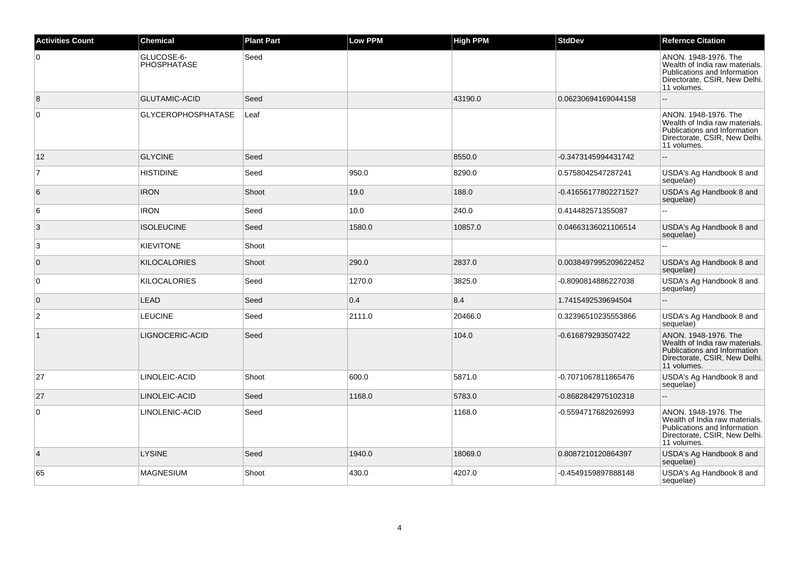| <b>Activities Count</b> | <b>Chemical</b>           | <b>Plant Part</b> | <b>Low PPM</b> | High PPM | <b>StdDev</b>         | <b>Refernce Citation</b>                                                                                                               |
|-------------------------|---------------------------|-------------------|----------------|----------|-----------------------|----------------------------------------------------------------------------------------------------------------------------------------|
| $\overline{0}$          | GLUCOSE-6-<br>PHOSPHATASE | Seed              |                |          |                       | ANON. 1948-1976. The<br>Wealth of India raw materials.<br>Publications and Information<br>Directorate, CSIR, New Delhi.<br>11 volumes. |
| 8                       | <b>GLUTAMIC-ACID</b>      | Seed              |                | 43190.0  | 0.06230694169044158   |                                                                                                                                        |
| $\overline{0}$          | <b>GLYCEROPHOSPHATASE</b> | Leaf              |                |          |                       | ANON. 1948-1976. The<br>Wealth of India raw materials.<br>Publications and Information<br>Directorate, CSIR, New Delhi.<br>11 volumes. |
| 12                      | <b>GLYCINE</b>            | Seed              |                | 8550.0   | -0.3473145994431742   | $\mathbf{u}$                                                                                                                           |
| 7                       | <b>HISTIDINE</b>          | Seed              | 950.0          | 8290.0   | 0.5758042547287241    | USDA's Ag Handbook 8 and<br>sequelae)                                                                                                  |
| 6                       | <b>IRON</b>               | Shoot             | 19.0           | 188.0    | -0.41656177802271527  | USDA's Ag Handbook 8 and<br>sequelae)                                                                                                  |
| 6                       | <b>IRON</b>               | Seed              | 10.0           | 240.0    | 0.414482571355087     | ă.                                                                                                                                     |
| $\vert 3 \vert$         | <b>ISOLEUCINE</b>         | Seed              | 1580.0         | 10857.0  | 0.04663136021106514   | USDA's Ag Handbook 8 and<br>sequelae)                                                                                                  |
| 3                       | <b>KIEVITONE</b>          | Shoot             |                |          |                       |                                                                                                                                        |
| $\overline{0}$          | <b>KILOCALORIES</b>       | Shoot             | 290.0          | 2837.0   | 0.0038497995209622452 | USDA's Ag Handbook 8 and<br>sequelae)                                                                                                  |
| $\overline{0}$          | <b>KILOCALORIES</b>       | Seed              | 1270.0         | 3825.0   | -0.8090814886227038   | USDA's Ag Handbook 8 and<br>sequelae)                                                                                                  |
| $\overline{0}$          | <b>LEAD</b>               | Seed              | 0.4            | 8.4      | 1.7415492539694504    | $\overline{a}$                                                                                                                         |
| $\overline{c}$          | <b>LEUCINE</b>            | Seed              | 2111.0         | 20466.0  | 0.32396510235553866   | USDA's Ag Handbook 8 and<br>sequelae)                                                                                                  |
| $\vert$ 1               | LIGNOCERIC-ACID           | Seed              |                | 104.0    | -0.616879293507422    | ANON. 1948-1976. The<br>Wealth of India raw materials.<br>Publications and Information<br>Directorate, CSIR, New Delhi.<br>11 volumes. |
| 27                      | LINOLEIC-ACID             | Shoot             | 600.0          | 5871.0   | -0.7071067811865476   | USDA's Ag Handbook 8 and<br>sequelae)                                                                                                  |
| 27                      | LINOLEIC-ACID             | Seed              | 1168.0         | 5783.0   | -0.8682842975102318   |                                                                                                                                        |
| 0                       | LINOLENIC-ACID            | Seed              |                | 1168.0   | -0.5594717682926993   | ANON. 1948-1976. The<br>Wealth of India raw materials.<br>Publications and Information<br>Directorate, CSIR, New Delhi.<br>11 volumes. |
| $\vert$ 4               | <b>LYSINE</b>             | Seed              | 1940.0         | 18069.0  | 0.8087210120864397    | USDA's Ag Handbook 8 and<br>sequelae)                                                                                                  |
| 65                      | <b>MAGNESIUM</b>          | Shoot             | 430.0          | 4207.0   | -0.4549159897888148   | USDA's Ag Handbook 8 and<br>sequelae)                                                                                                  |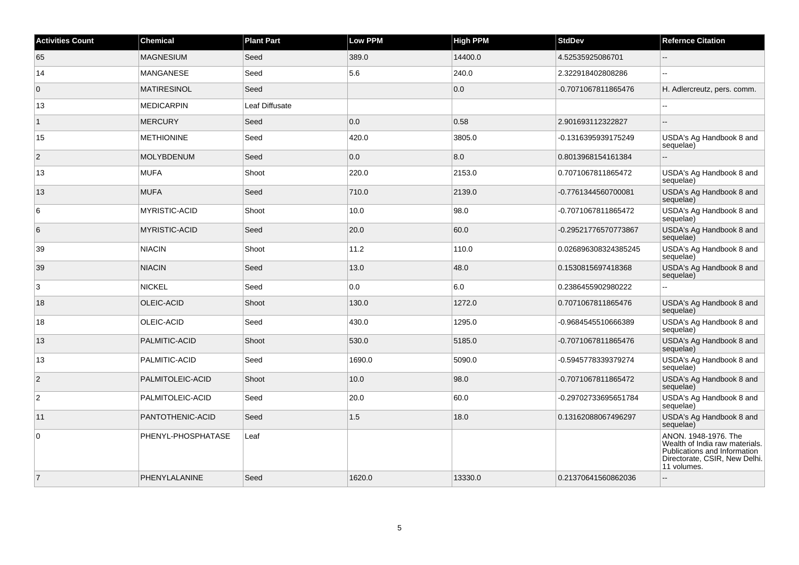| <b>Activities Count</b> | <b>Chemical</b>      | <b>Plant Part</b> | <b>Low PPM</b> | <b>High PPM</b> | <b>StdDev</b>        | <b>Refernce Citation</b>                                                                                                               |
|-------------------------|----------------------|-------------------|----------------|-----------------|----------------------|----------------------------------------------------------------------------------------------------------------------------------------|
| 65                      | <b>MAGNESIUM</b>     | Seed              | 389.0          | 14400.0         | 4.52535925086701     | $-$                                                                                                                                    |
| 14                      | <b>MANGANESE</b>     | Seed              | 5.6            | 240.0           | 2.322918402808286    | $-$                                                                                                                                    |
| $\overline{0}$          | <b>MATIRESINOL</b>   | Seed              |                | 0.0             | -0.7071067811865476  | H. Adlercreutz, pers. comm.                                                                                                            |
| 13                      | <b>MEDICARPIN</b>    | Leaf Diffusate    |                |                 |                      | $\overline{\phantom{a}}$                                                                                                               |
| $\mathbf{1}$            | <b>MERCURY</b>       | Seed              | 0.0            | 0.58            | 2.901693112322827    | $\overline{\phantom{a}}$                                                                                                               |
| 15                      | <b>METHIONINE</b>    | Seed              | 420.0          | 3805.0          | -0.1316395939175249  | USDA's Ag Handbook 8 and<br>sequelae)                                                                                                  |
| $\overline{2}$          | <b>MOLYBDENUM</b>    | Seed              | 0.0            | 8.0             | 0.8013968154161384   | $\overline{a}$                                                                                                                         |
| 13                      | <b>MUFA</b>          | Shoot             | 220.0          | 2153.0          | 0.7071067811865472   | USDA's Ag Handbook 8 and<br>sequelae)                                                                                                  |
| 13                      | <b>MUFA</b>          | Seed              | 710.0          | 2139.0          | -0.7761344560700081  | USDA's Ag Handbook 8 and<br>sequelae)                                                                                                  |
| 6                       | <b>MYRISTIC-ACID</b> | Shoot             | 10.0           | 98.0            | -0.7071067811865472  | USDA's Ag Handbook 8 and<br>sequelae)                                                                                                  |
| 6                       | <b>MYRISTIC-ACID</b> | Seed              | 20.0           | 60.0            | -0.29521776570773867 | USDA's Ag Handbook 8 and<br>sequelae)                                                                                                  |
| 39                      | <b>NIACIN</b>        | Shoot             | 11.2           | 110.0           | 0.026896308324385245 | USDA's Ag Handbook 8 and<br>sequelae)                                                                                                  |
| 39                      | <b>NIACIN</b>        | Seed              | 13.0           | 48.0            | 0.1530815697418368   | USDA's Ag Handbook 8 and<br>sequelae)                                                                                                  |
| 3                       | <b>NICKEL</b>        | Seed              | 0.0            | 6.0             | 0.2386455902980222   | $-$                                                                                                                                    |
| 18                      | OLEIC-ACID           | Shoot             | 130.0          | 1272.0          | 0.7071067811865476   | USDA's Ag Handbook 8 and<br>sequelae)                                                                                                  |
| 18                      | OLEIC-ACID           | Seed              | 430.0          | 1295.0          | -0.9684545510666389  | USDA's Ag Handbook 8 and<br>sequelae)                                                                                                  |
| 13                      | PALMITIC-ACID        | Shoot             | 530.0          | 5185.0          | -0.7071067811865476  | USDA's Ag Handbook 8 and<br>sequelae)                                                                                                  |
| 13                      | PALMITIC-ACID        | Seed              | 1690.0         | 5090.0          | -0.5945778339379274  | USDA's Ag Handbook 8 and<br>sequelae)                                                                                                  |
| $\overline{2}$          | PALMITOLEIC-ACID     | Shoot             | 10.0           | 98.0            | -0.7071067811865472  | USDA's Ag Handbook 8 and<br>sequelae)                                                                                                  |
| $\overline{c}$          | PALMITOLEIC-ACID     | Seed              | 20.0           | 60.0            | -0.29702733695651784 | USDA's Ag Handbook 8 and<br>sequelae)                                                                                                  |
| 11                      | PANTOTHENIC-ACID     | Seed              | 1.5            | 18.0            | 0.13162088067496297  | USDA's Ag Handbook 8 and<br>sequelae)                                                                                                  |
| 0                       | PHENYL-PHOSPHATASE   | Leaf              |                |                 |                      | ANON. 1948-1976. The<br>Wealth of India raw materials.<br>Publications and Information<br>Directorate, CSIR, New Delhi.<br>11 volumes. |
| $\overline{7}$          | PHENYLALANINE        | Seed              | 1620.0         | 13330.0         | 0.21370641560862036  |                                                                                                                                        |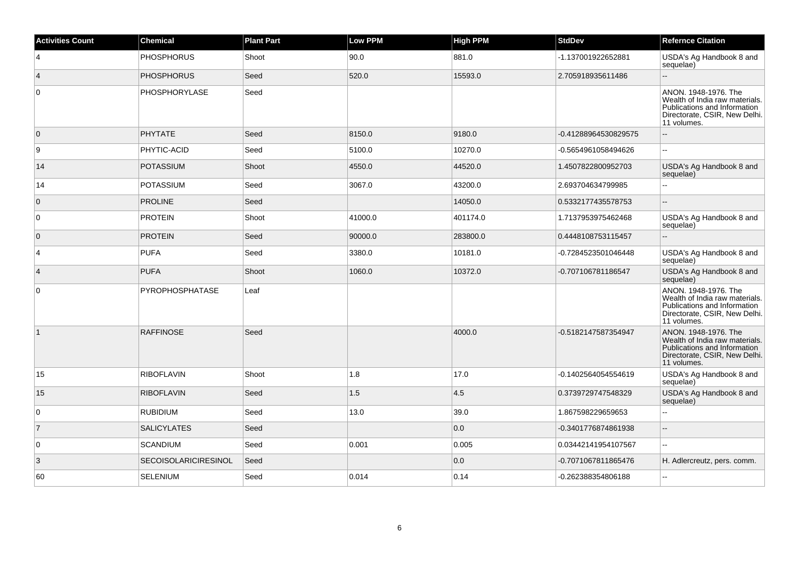| <b>Activities Count</b> | <b>Chemical</b>             | <b>Plant Part</b> | Low PPM | <b>High PPM</b> | <b>StdDev</b>        | <b>Refernce Citation</b>                                                                                                               |
|-------------------------|-----------------------------|-------------------|---------|-----------------|----------------------|----------------------------------------------------------------------------------------------------------------------------------------|
| $\overline{4}$          | <b>PHOSPHORUS</b>           | Shoot             | 90.0    | 881.0           | -1.137001922652881   | USDA's Ag Handbook 8 and<br>sequelae)                                                                                                  |
| $\overline{4}$          | <b>PHOSPHORUS</b>           | Seed              | 520.0   | 15593.0         | 2.705918935611486    |                                                                                                                                        |
| $\overline{0}$          | PHOSPHORYLASE               | Seed              |         |                 |                      | ANON. 1948-1976. The<br>Wealth of India raw materials.<br>Publications and Information<br>Directorate, CSIR, New Delhi.<br>11 volumes. |
| $\overline{0}$          | <b>PHYTATE</b>              | Seed              | 8150.0  | 9180.0          | -0.41288964530829575 |                                                                                                                                        |
| 9                       | PHYTIC-ACID                 | Seed              | 5100.0  | 10270.0         | -0.5654961058494626  | ÷.                                                                                                                                     |
| 14                      | <b>POTASSIUM</b>            | Shoot             | 4550.0  | 44520.0         | 1.4507822800952703   | USDA's Ag Handbook 8 and<br>sequelae)                                                                                                  |
| 14                      | <b>POTASSIUM</b>            | Seed              | 3067.0  | 43200.0         | 2.693704634799985    |                                                                                                                                        |
| $\overline{0}$          | <b>PROLINE</b>              | Seed              |         | 14050.0         | 0.5332177435578753   |                                                                                                                                        |
| $\overline{0}$          | <b>PROTEIN</b>              | Shoot             | 41000.0 | 401174.0        | 1.7137953975462468   | USDA's Ag Handbook 8 and<br>sequelae)                                                                                                  |
| $\overline{0}$          | <b>PROTEIN</b>              | Seed              | 90000.0 | 283800.0        | 0.4448108753115457   |                                                                                                                                        |
| $\overline{4}$          | <b>PUFA</b>                 | Seed              | 3380.0  | 10181.0         | -0.7284523501046448  | USDA's Ag Handbook 8 and<br>sequelae)                                                                                                  |
| $\overline{4}$          | <b>PUFA</b>                 | Shoot             | 1060.0  | 10372.0         | -0.707106781186547   | USDA's Ag Handbook 8 and<br>sequelae)                                                                                                  |
| $\overline{0}$          | PYROPHOSPHATASE             | Leaf              |         |                 |                      | ANON. 1948-1976. The<br>Wealth of India raw materials.<br>Publications and Information<br>Directorate, CSIR, New Delhi.<br>11 volumes. |
| $\vert$ 1               | <b>RAFFINOSE</b>            | Seed              |         | 4000.0          | -0.5182147587354947  | ANON. 1948-1976. The<br>Wealth of India raw materials.<br>Publications and Information<br>Directorate, CSIR, New Delhi.<br>11 volumes. |
| 15                      | <b>RIBOFLAVIN</b>           | Shoot             | 1.8     | 17.0            | -0.1402564054554619  | USDA's Ag Handbook 8 and<br>sequelae)                                                                                                  |
| 15                      | <b>RIBOFLAVIN</b>           | Seed              | 1.5     | 4.5             | 0.3739729747548329   | USDA's Ag Handbook 8 and<br>sequelae)                                                                                                  |
| $\overline{0}$          | <b>RUBIDIUM</b>             | Seed              | 13.0    | 39.0            | 1.867598229659653    |                                                                                                                                        |
| $\overline{7}$          | <b>SALICYLATES</b>          | Seed              |         | 0.0             | -0.3401776874861938  | ÷.                                                                                                                                     |
| $\overline{0}$          | <b>SCANDIUM</b>             | Seed              | 0.001   | 0.005           | 0.03442141954107567  | $\sim$                                                                                                                                 |
| 3                       | <b>SECOISOLARICIRESINOL</b> | Seed              |         | 0.0             | -0.7071067811865476  | H. Adlercreutz, pers. comm.                                                                                                            |
| 60                      | <b>SELENIUM</b>             | Seed              | 0.014   | 0.14            | 0.262388354806188    |                                                                                                                                        |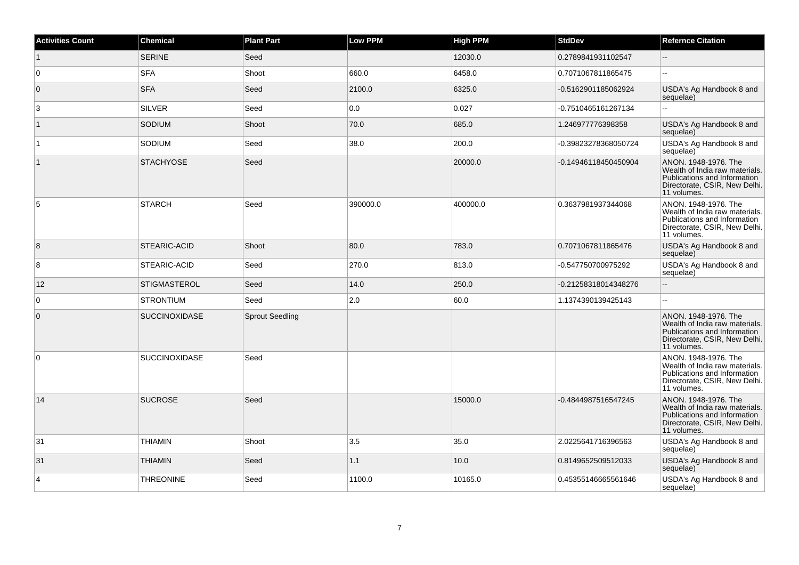| <b>Activities Count</b> | Chemical             | <b>Plant Part</b>      | <b>Low PPM</b> | <b>High PPM</b> | <b>StdDev</b>        | <b>Refernce Citation</b>                                                                                                               |
|-------------------------|----------------------|------------------------|----------------|-----------------|----------------------|----------------------------------------------------------------------------------------------------------------------------------------|
| $\mathbf{1}$            | <b>SERINE</b>        | Seed                   |                | 12030.0         | 0.2789841931102547   | $-$                                                                                                                                    |
| $\overline{0}$          | <b>SFA</b>           | Shoot                  | 660.0          | 6458.0          | 0.7071067811865475   |                                                                                                                                        |
| $\overline{0}$          | <b>SFA</b>           | Seed                   | 2100.0         | 6325.0          | -0.5162901185062924  | USDA's Ag Handbook 8 and<br>sequelae)                                                                                                  |
| 3                       | <b>SILVER</b>        | Seed                   | 0.0            | 0.027           | -0.7510465161267134  | L.                                                                                                                                     |
| $\vert$ 1               | SODIUM               | Shoot                  | 70.0           | 685.0           | 1.246977776398358    | USDA's Ag Handbook 8 and<br>sequelae)                                                                                                  |
| $\overline{1}$          | SODIUM               | Seed                   | 38.0           | 200.0           | -0.39823278368050724 | USDA's Ag Handbook 8 and<br>sequelae)                                                                                                  |
|                         | <b>STACHYOSE</b>     | Seed                   |                | 20000.0         | -0.14946118450450904 | ANON. 1948-1976. The<br>Wealth of India raw materials.<br>Publications and Information<br>Directorate, CSIR, New Delhi.<br>11 volumes. |
| 5                       | <b>STARCH</b>        | Seed                   | 390000.0       | 400000.0        | 0.3637981937344068   | ANON. 1948-1976. The<br>Wealth of India raw materials.<br>Publications and Information<br>Directorate, CSIR, New Delhi.<br>11 volumes. |
| 8                       | STEARIC-ACID         | Shoot                  | 80.0           | 783.0           | 0.7071067811865476   | USDA's Ag Handbook 8 and<br>sequelae)                                                                                                  |
| $\bf 8$                 | STEARIC-ACID         | Seed                   | 270.0          | 813.0           | -0.547750700975292   | USDA's Ag Handbook 8 and<br>sequelae)                                                                                                  |
| 12                      | <b>STIGMASTEROL</b>  | Seed                   | 14.0           | 250.0           | -0.21258318014348276 |                                                                                                                                        |
| 0                       | <b>STRONTIUM</b>     | Seed                   | 2.0            | 60.0            | 1.1374390139425143   | Ξ.                                                                                                                                     |
| $\overline{0}$          | <b>SUCCINOXIDASE</b> | <b>Sprout Seedling</b> |                |                 |                      | ANON. 1948-1976. The<br>Wealth of India raw materials.<br>Publications and Information<br>Directorate, CSIR, New Delhi.<br>11 volumes. |
| 0                       | <b>SUCCINOXIDASE</b> | Seed                   |                |                 |                      | ANON. 1948-1976. The<br>Wealth of India raw materials.<br>Publications and Information<br>Directorate, CSIR, New Delhi.<br>11 volumes. |
| 14                      | <b>SUCROSE</b>       | Seed                   |                | 15000.0         | -0.4844987516547245  | ANON. 1948-1976. The<br>Wealth of India raw materials.<br>Publications and Information<br>Directorate, CSIR, New Delhi.<br>11 volumes. |
| 31                      | <b>THIAMIN</b>       | Shoot                  | 3.5            | 35.0            | 2.0225641716396563   | USDA's Ag Handbook 8 and<br>sequelae)                                                                                                  |
| 31                      | <b>THIAMIN</b>       | Seed                   | 1.1            | 10.0            | 0.8149652509512033   | USDA's Ag Handbook 8 and<br>sequelae)                                                                                                  |
| $\overline{4}$          | <b>THREONINE</b>     | Seed                   | 1100.0         | 10165.0         | 0.45355146665561646  | USDA's Ag Handbook 8 and<br>sequelae)                                                                                                  |